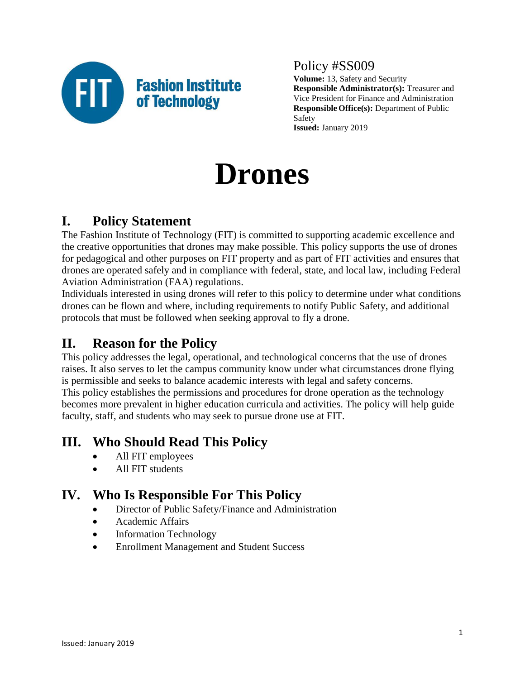

# Policy #SS009

**Volume:** 13, Safety and Security **Responsible Administrator(s):** Treasurer and Vice President for Finance and Administration **Responsible Office(s):** Department of Public Safety **Issued:** January 2019

# **Drones**

# **I. Policy Statement**

The Fashion Institute of Technology (FIT) is committed to supporting academic excellence and the creative opportunities that drones may make possible. This policy supports the use of drones for pedagogical and other purposes on FIT property and as part of FIT activities and ensures that drones are operated safely and in compliance with federal, state, and local law, including Federal Aviation Administration (FAA) regulations.

Individuals interested in using drones will refer to this policy to determine under what conditions drones can be flown and where, including requirements to notify Public Safety, and additional protocols that must be followed when seeking approval to fly a drone.

# **II. Reason for the Policy**

This policy addresses the legal, operational, and technological concerns that the use of drones raises. It also serves to let the campus community know under what circumstances drone flying is permissible and seeks to balance academic interests with legal and safety concerns. This policy establishes the permissions and procedures for drone operation as the technology becomes more prevalent in higher education curricula and activities. The policy will help guide faculty, staff, and students who may seek to pursue drone use at FIT.

# **III. Who Should Read This Policy**

- All FIT employees
- All FIT students

## **IV. Who Is Responsible For This Policy**

- **•** Director of Public Safety/Finance and Administration
- Academic Affairs
- Information Technology
- Enrollment Management and Student Success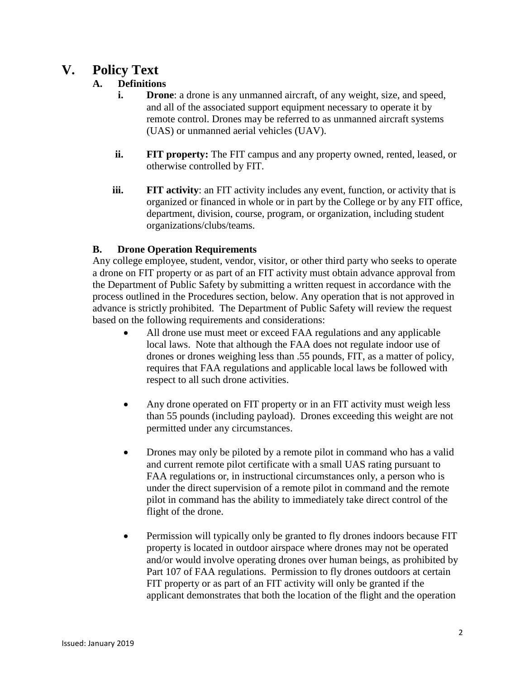# **V. Policy Text**

## **A. Definitions**

- **i. Drone**: a drone is any unmanned aircraft, of any weight, size, and speed, and all of the associated support equipment necessary to operate it by remote control. Drones may be referred to as unmanned aircraft systems (UAS) or unmanned aerial vehicles (UAV).
- **ii. FIT property:** The FIT campus and any property owned, rented, leased, or otherwise controlled by FIT.
- **iii. FIT activity:** an FIT activity includes any event, function, or activity that is organized or financed in whole or in part by the College or by any FIT office, department, division, course, program, or organization, including student organizations/clubs/teams.

### **B. Drone Operation Requirements**

Any college employee, student, vendor, visitor, or other third party who seeks to operate a drone on FIT property or as part of an FIT activity must obtain advance approval from the Department of Public Safety by submitting a written request in accordance with the process outlined in the Procedures section, below. Any operation that is not approved in advance is strictly prohibited. The Department of Public Safety will review the request based on the following requirements and considerations:

- All drone use must meet or exceed FAA regulations and any applicable local laws. Note that although the FAA does not regulate indoor use of drones or drones weighing less than .55 pounds, FIT, as a matter of policy, requires that FAA regulations and applicable local laws be followed with respect to all such drone activities.
- Any drone operated on FIT property or in an FIT activity must weigh less than 55 pounds (including payload). Drones exceeding this weight are not permitted under any circumstances.
- Drones may only be piloted by a remote pilot in command who has a valid and current remote pilot certificate with a small UAS rating pursuant to FAA regulations or, in instructional circumstances only, a person who is under the direct supervision of a remote pilot in command and the remote pilot in command has the ability to immediately take direct control of the flight of the drone.
- Permission will typically only be granted to fly drones indoors because FIT property is located in outdoor airspace where drones may not be operated and/or would involve operating drones over human beings, as prohibited by Part 107 of FAA regulations. Permission to fly drones outdoors at certain FIT property or as part of an FIT activity will only be granted if the applicant demonstrates that both the location of the flight and the operation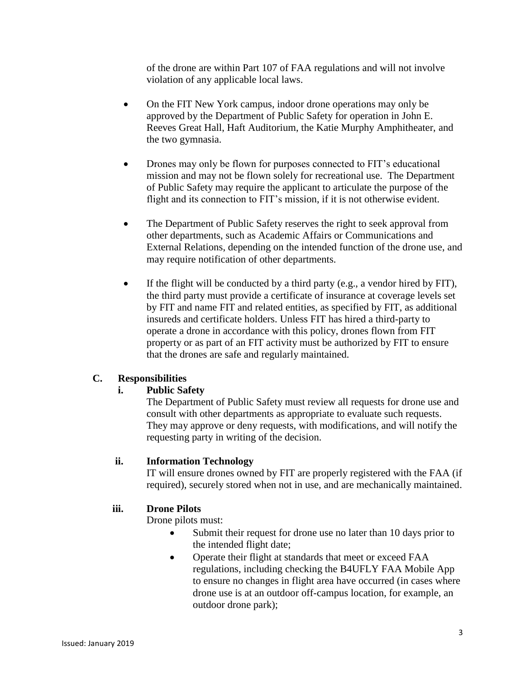of the drone are within Part 107 of FAA regulations and will not involve violation of any applicable local laws.

- On the FIT New York campus, indoor drone operations may only be approved by the Department of Public Safety for operation in John E. Reeves Great Hall, Haft Auditorium, the Katie Murphy Amphitheater, and the two gymnasia.
- Drones may only be flown for purposes connected to FIT's educational mission and may not be flown solely for recreational use. The Department of Public Safety may require the applicant to articulate the purpose of the flight and its connection to FIT's mission, if it is not otherwise evident.
- The Department of Public Safety reserves the right to seek approval from other departments, such as Academic Affairs or Communications and External Relations, depending on the intended function of the drone use, and may require notification of other departments.
- $\bullet$  If the flight will be conducted by a third party (e.g., a vendor hired by FIT), the third party must provide a certificate of insurance at coverage levels set by FIT and name FIT and related entities, as specified by FIT, as additional insureds and certificate holders. Unless FIT has hired a third-party to operate a drone in accordance with this policy, drones flown from FIT property or as part of an FIT activity must be authorized by FIT to ensure that the drones are safe and regularly maintained.

#### **C. Responsibilities**

#### **i. Public Safety**

The Department of Public Safety must review all requests for drone use and consult with other departments as appropriate to evaluate such requests. They may approve or deny requests, with modifications, and will notify the requesting party in writing of the decision.

#### **ii. Information Technology**

IT will ensure drones owned by FIT are properly registered with the FAA (if required), securely stored when not in use, and are mechanically maintained.

#### **iii. Drone Pilots**

Drone pilots must:

- Submit their request for drone use no later than 10 days prior to the intended flight date;
- Operate their flight at standards that meet or exceed FAA regulations, including checking the B4UFLY FAA Mobile App to ensure no changes in flight area have occurred (in cases where drone use is at an outdoor off-campus location, for example, an outdoor drone park);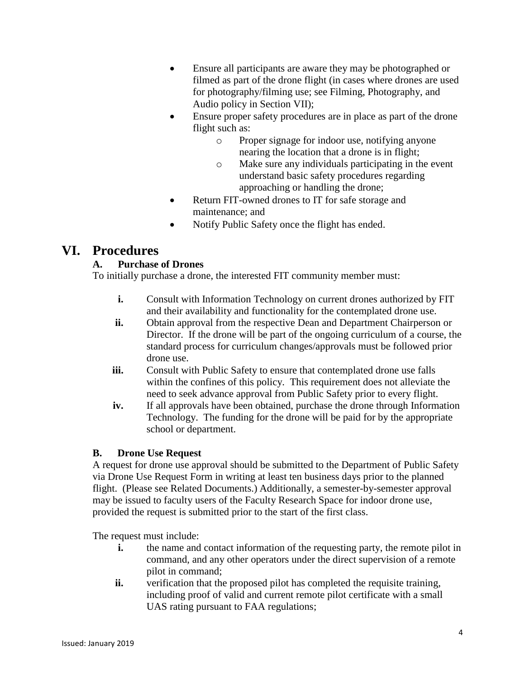- Ensure all participants are aware they may be photographed or filmed as part of the drone flight (in cases where drones are used for photography/filming use; see Filming, Photography, and Audio policy in Section VII);
- Ensure proper safety procedures are in place as part of the drone flight such as:
	- o Proper signage for indoor use, notifying anyone nearing the location that a drone is in flight;
	- o Make sure any individuals participating in the event understand basic safety procedures regarding approaching or handling the drone;
- Return FIT-owned drones to IT for safe storage and maintenance; and
- Notify Public Safety once the flight has ended.

# **VI. Procedures**

## **A. Purchase of Drones**

To initially purchase a drone, the interested FIT community member must:

- **i.** Consult with Information Technology on current drones authorized by FIT and their availability and functionality for the contemplated drone use.
- **ii.** Obtain approval from the respective Dean and Department Chairperson or Director. If the drone will be part of the ongoing curriculum of a course, the standard process for curriculum changes/approvals must be followed prior drone use.
- **iii.** Consult with Public Safety to ensure that contemplated drone use falls within the confines of this policy. This requirement does not alleviate the need to seek advance approval from Public Safety prior to every flight.
- **iv.** If all approvals have been obtained, purchase the drone through Information Technology. The funding for the drone will be paid for by the appropriate school or department.

## **B. Drone Use Request**

A request for drone use approval should be submitted to the Department of Public Safety via Drone Use Request Form in writing at least ten business days prior to the planned flight. (Please see Related Documents.) Additionally, a semester-by-semester approval may be issued to faculty users of the Faculty Research Space for indoor drone use, provided the request is submitted prior to the start of the first class.

The request must include:

- **i.** the name and contact information of the requesting party, the remote pilot in command, and any other operators under the direct supervision of a remote pilot in command;
- **ii.** verification that the proposed pilot has completed the requisite training, including proof of valid and current remote pilot certificate with a small UAS rating pursuant to FAA regulations;